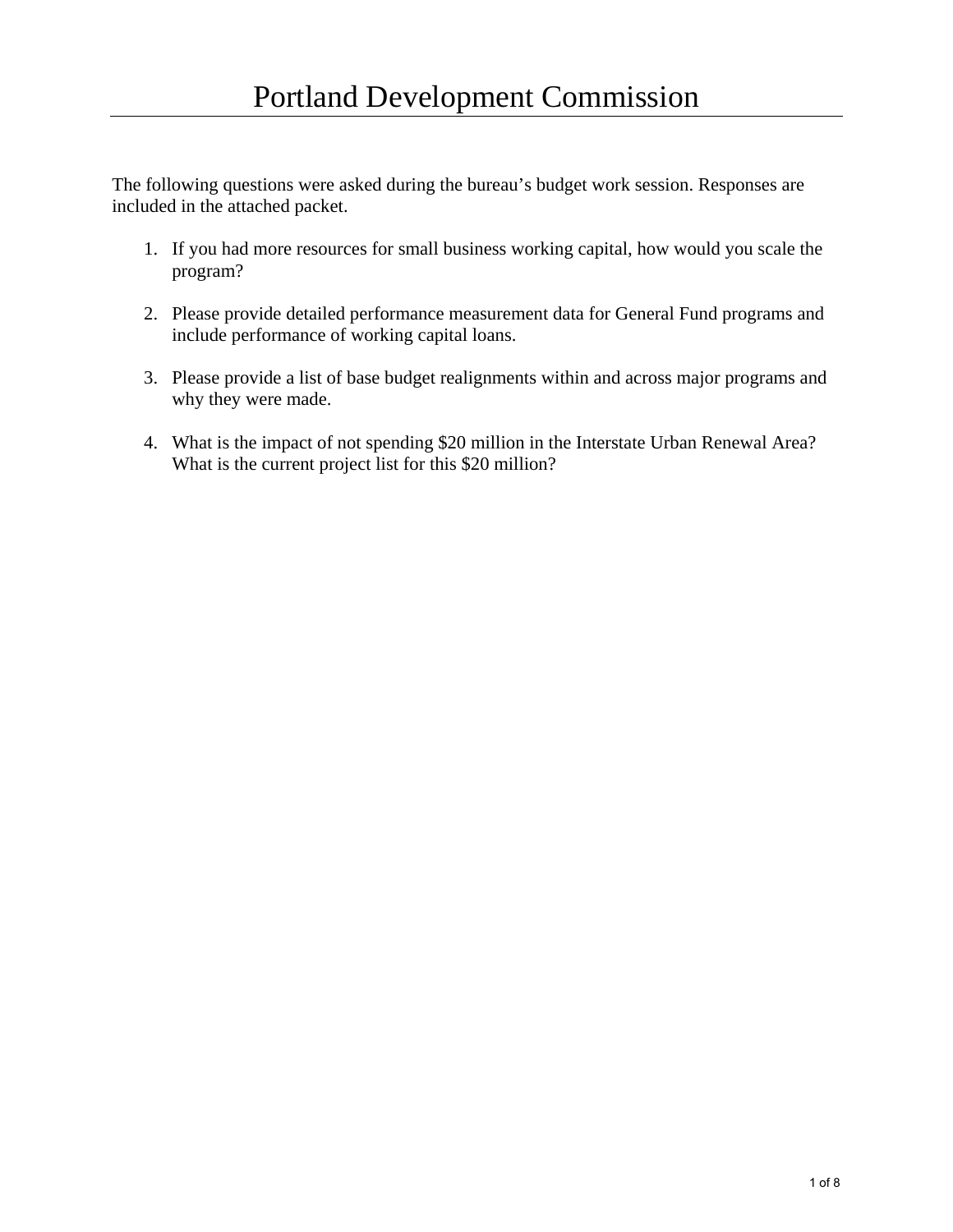The following questions were asked during the bureau's budget work session. Responses are included in the attached packet.

- 1. If you had more resources for small business working capital, how would you scale the program?
- 2. Please provide detailed performance measurement data for General Fund programs and include performance of working capital loans.
- 3. Please provide a list of base budget realignments within and across major programs and why they were made.
- 4. What is the impact of not spending \$20 million in the Interstate Urban Renewal Area? What is the current project list for this \$20 million?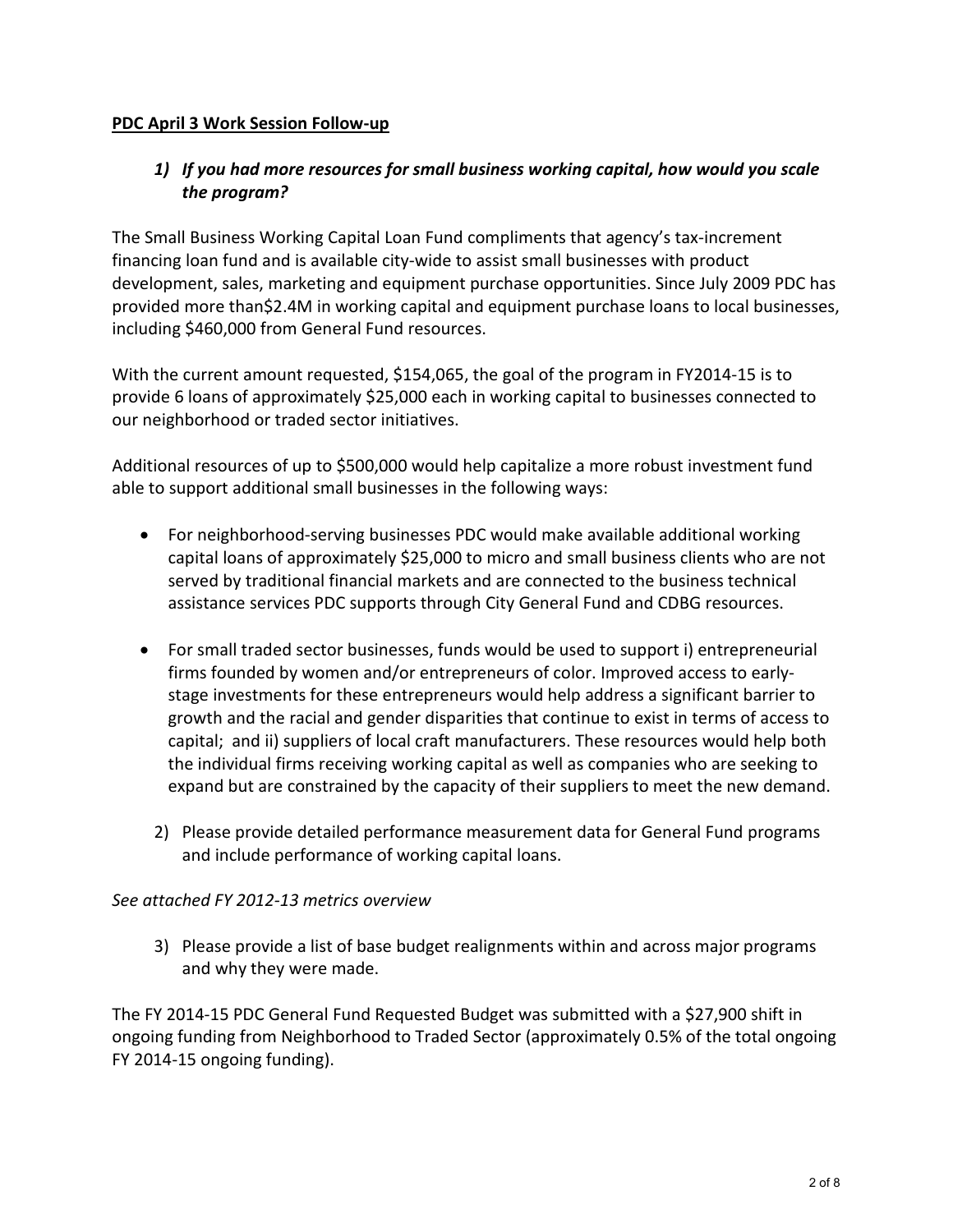#### **PDC April 3 Work Session Follow-up**

## *1) If you had more resources for small business working capital, how would you scale the program?*

The Small Business Working Capital Loan Fund compliments that agency's tax-increment financing loan fund and is available city-wide to assist small businesses with product development, sales, marketing and equipment purchase opportunities. Since July 2009 PDC has provided more than\$2.4M in working capital and equipment purchase loans to local businesses, including \$460,000 from General Fund resources.

With the current amount requested, \$154,065, the goal of the program in FY2014-15 is to provide 6 loans of approximately \$25,000 each in working capital to businesses connected to our neighborhood or traded sector initiatives.

Additional resources of up to \$500,000 would help capitalize a more robust investment fund able to support additional small businesses in the following ways:

- For neighborhood-serving businesses PDC would make available additional working capital loans of approximately \$25,000 to micro and small business clients who are not served by traditional financial markets and are connected to the business technical assistance services PDC supports through City General Fund and CDBG resources.
- For small traded sector businesses, funds would be used to support i) entrepreneurial firms founded by women and/or entrepreneurs of color. Improved access to earlystage investments for these entrepreneurs would help address a significant barrier to growth and the racial and gender disparities that continue to exist in terms of access to capital; and ii) suppliers of local craft manufacturers. These resources would help both the individual firms receiving working capital as well as companies who are seeking to expand but are constrained by the capacity of their suppliers to meet the new demand.
	- 2) Please provide detailed performance measurement data for General Fund programs and include performance of working capital loans.

#### *See attached FY 2012-13 metrics overview*

3) Please provide a list of base budget realignments within and across major programs and why they were made.

The FY 2014-15 PDC General Fund Requested Budget was submitted with a \$27,900 shift in ongoing funding from Neighborhood to Traded Sector (approximately 0.5% of the total ongoing FY 2014-15 ongoing funding).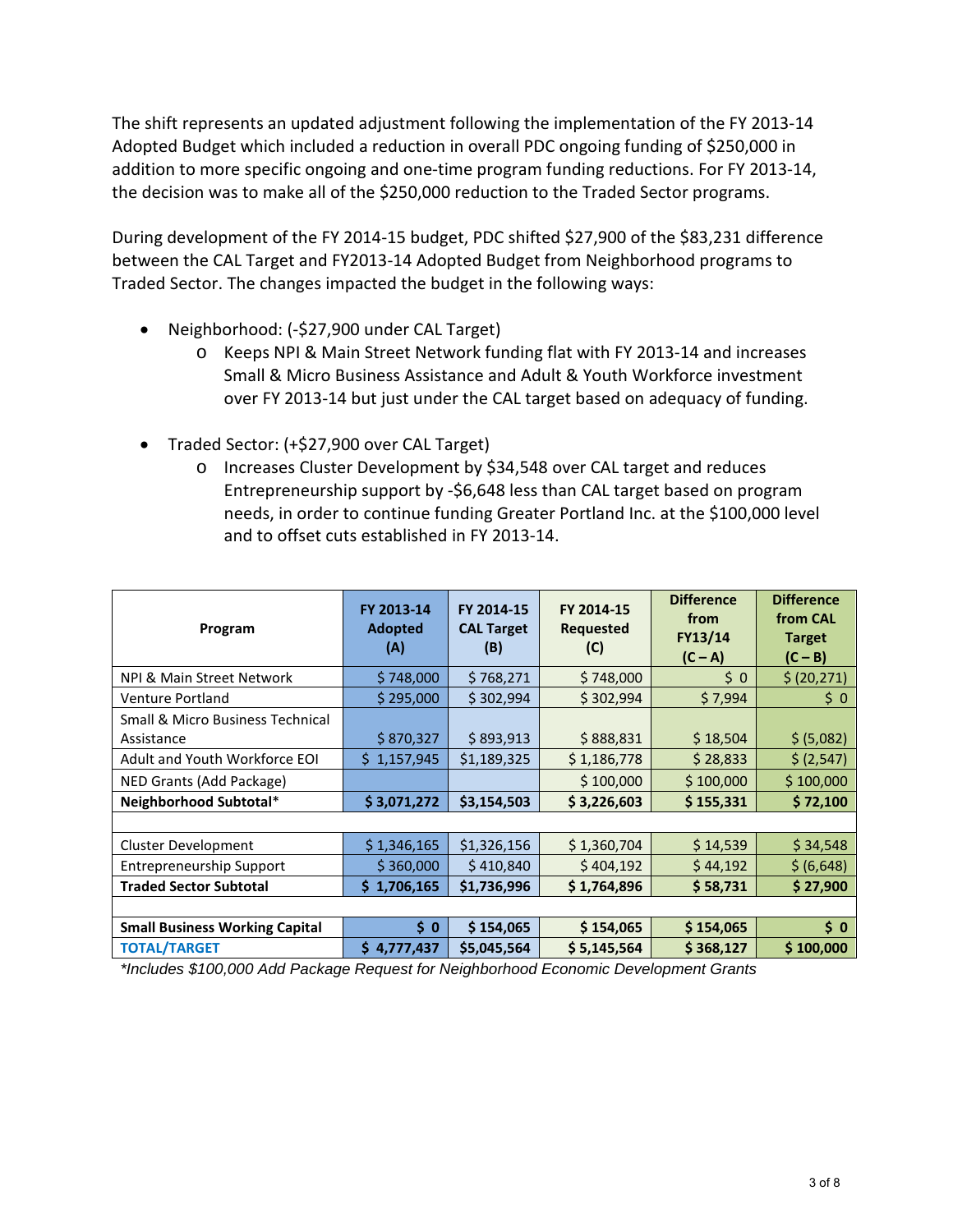The shift represents an updated adjustment following the implementation of the FY 2013-14 Adopted Budget which included a reduction in overall PDC ongoing funding of \$250,000 in addition to more specific ongoing and one-time program funding reductions. For FY 2013-14, the decision was to make all of the \$250,000 reduction to the Traded Sector programs.

During development of the FY 2014-15 budget, PDC shifted \$27,900 of the \$83,231 difference between the CAL Target and FY2013-14 Adopted Budget from Neighborhood programs to Traded Sector. The changes impacted the budget in the following ways:

- Neighborhood: (-\$27,900 under CAL Target)
	- o Keeps NPI & Main Street Network funding flat with FY 2013-14 and increases Small & Micro Business Assistance and Adult & Youth Workforce investment over FY 2013-14 but just under the CAL target based on adequacy of funding.
- Traded Sector: (+\$27,900 over CAL Target)
	- o Increases Cluster Development by \$34,548 over CAL target and reduces Entrepreneurship support by -\$6,648 less than CAL target based on program needs, in order to continue funding Greater Portland Inc. at the \$100,000 level and to offset cuts established in FY 2013-14.

| Program                                        | FY 2013-14<br><b>Adopted</b><br>(A) | FY 2014-15<br><b>CAL Target</b><br>(B) | FY 2014-15<br><b>Requested</b><br>(C) | <b>Difference</b><br>from<br>FY13/14<br>$(C - A)$ | <b>Difference</b><br>from CAL<br><b>Target</b><br>$(C - B)$ |
|------------------------------------------------|-------------------------------------|----------------------------------------|---------------------------------------|---------------------------------------------------|-------------------------------------------------------------|
| NPI & Main Street Network                      | \$748,000                           | \$768,271                              | \$748,000                             | \$0                                               | \$ (20, 271)                                                |
| <b>Venture Portland</b>                        | \$295,000                           | \$302,994                              | \$302,994                             | \$7,994                                           | \$0                                                         |
| Small & Micro Business Technical<br>Assistance | \$870,327                           | \$893,913                              | \$888,831                             | \$18,504                                          | \$ (5,082)                                                  |
| Adult and Youth Workforce EOI                  | \$1,157,945                         | \$1,189,325                            | \$1,186,778                           | \$28,833                                          | \$ (2,547)                                                  |
| NED Grants (Add Package)                       |                                     |                                        | \$100,000                             | \$100,000                                         | \$100,000                                                   |
| Neighborhood Subtotal*                         | \$3,071,272                         | \$3,154,503                            | \$3,226,603                           | \$155,331                                         | \$72,100                                                    |
|                                                |                                     |                                        |                                       |                                                   |                                                             |
| <b>Cluster Development</b>                     | \$1,346,165                         | \$1,326,156                            | \$1,360,704                           | \$14,539                                          | \$34,548                                                    |
| <b>Entrepreneurship Support</b>                | \$360,000                           | \$410,840                              | \$404,192                             | \$44,192                                          | \$ (6,648)                                                  |
| <b>Traded Sector Subtotal</b>                  | 1,706,165<br>S                      | \$1,736,996                            | \$1,764,896                           | \$58,731                                          | \$27,900                                                    |
|                                                |                                     |                                        |                                       |                                                   |                                                             |
| <b>Small Business Working Capital</b>          | \$0                                 | \$154,065                              | \$154,065                             | \$154,065                                         | \$0                                                         |
| <b>TOTAL/TARGET</b>                            | \$4,777,437                         | \$5,045,564                            | \$5,145,564                           | \$368,127                                         | \$100,000                                                   |

*\*Includes \$100,000 Add Package Request for Neighborhood Economic Development Grants*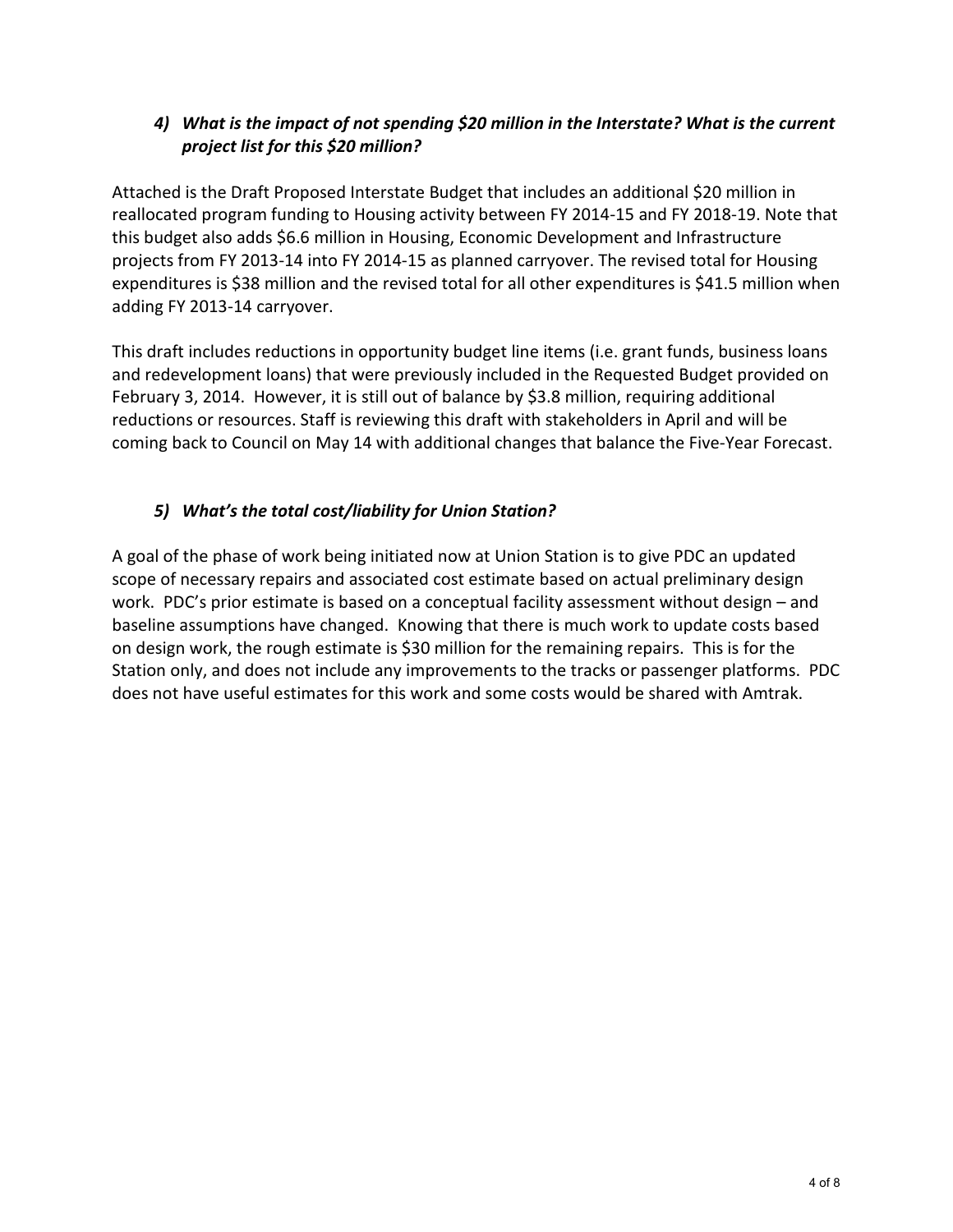## *4) What is the impact of not spending \$20 million in the Interstate? What is the current project list for this \$20 million?*

Attached is the Draft Proposed Interstate Budget that includes an additional \$20 million in reallocated program funding to Housing activity between FY 2014-15 and FY 2018-19. Note that this budget also adds \$6.6 million in Housing, Economic Development and Infrastructure projects from FY 2013-14 into FY 2014-15 as planned carryover. The revised total for Housing expenditures is \$38 million and the revised total for all other expenditures is \$41.5 million when adding FY 2013-14 carryover.

This draft includes reductions in opportunity budget line items (i.e. grant funds, business loans and redevelopment loans) that were previously included in the Requested Budget provided on February 3, 2014. However, it is still out of balance by \$3.8 million, requiring additional reductions or resources. Staff is reviewing this draft with stakeholders in April and will be coming back to Council on May 14 with additional changes that balance the Five-Year Forecast.

## *5) What's the total cost/liability for Union Station?*

A goal of the phase of work being initiated now at Union Station is to give PDC an updated scope of necessary repairs and associated cost estimate based on actual preliminary design work. PDC's prior estimate is based on a conceptual facility assessment without design – and baseline assumptions have changed. Knowing that there is much work to update costs based on design work, the rough estimate is \$30 million for the remaining repairs. This is for the Station only, and does not include any improvements to the tracks or passenger platforms. PDC does not have useful estimates for this work and some costs would be shared with Amtrak.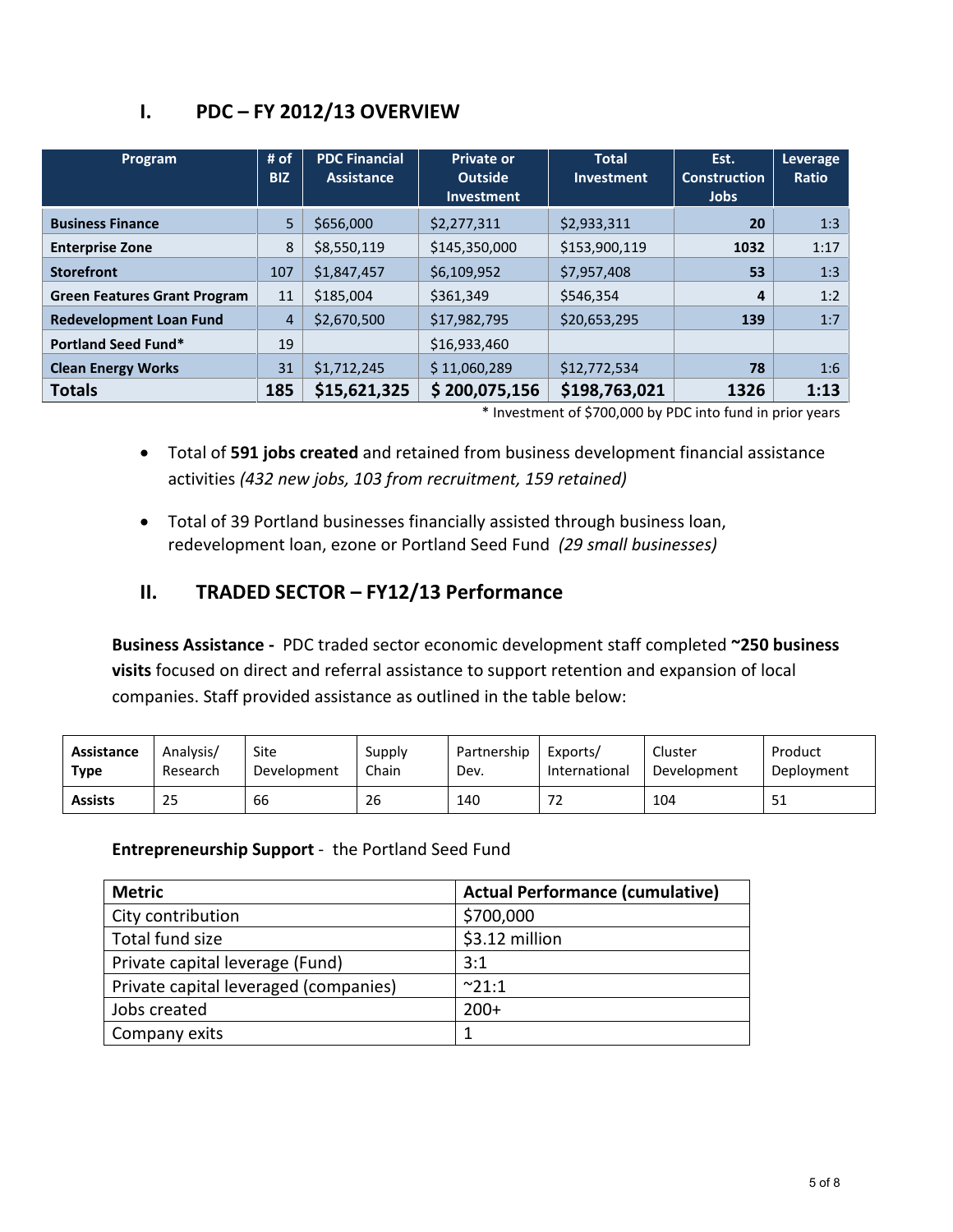| Program                             | # of<br><b>BIZ</b> | <b>PDC Financial</b><br>Assistance | <b>Private or</b><br><b>Outside</b><br><b>Investment</b> | <b>Total</b><br><b>Investment</b> | Est.<br><b>Construction</b><br>Jobs | Leverage<br><b>Ratio</b> |
|-------------------------------------|--------------------|------------------------------------|----------------------------------------------------------|-----------------------------------|-------------------------------------|--------------------------|
| <b>Business Finance</b>             | 5                  | \$656,000                          | \$2,277,311                                              | \$2,933,311                       | 20                                  | 1:3                      |
| <b>Enterprise Zone</b>              | 8                  | \$8,550,119                        | \$145,350,000                                            | \$153,900,119                     | 1032                                | 1:17                     |
| <b>Storefront</b>                   | 107                | \$1,847,457                        | \$6,109,952                                              | \$7,957,408                       | 53                                  | 1:3                      |
| <b>Green Features Grant Program</b> | 11                 | \$185,004                          | \$361,349                                                | \$546.354                         | 4                                   | 1:2                      |
| <b>Redevelopment Loan Fund</b>      | $\overline{4}$     | \$2,670,500                        | \$17,982,795                                             | \$20,653,295                      | 139                                 | 1:7                      |
| <b>Portland Seed Fund*</b>          | 19                 |                                    | \$16,933,460                                             |                                   |                                     |                          |
| <b>Clean Energy Works</b>           | 31                 | \$1,712,245                        | \$11,060,289                                             | \$12,772,534                      | 78                                  | 1:6                      |
| <b>Totals</b>                       | 185                | \$15,621,325                       | \$200,075,156                                            | \$198,763,021                     | 1326                                | 1:13                     |

## **I. PDC – FY 2012/13 OVERVIEW**

\* Investment of \$700,000 by PDC into fund in prior years

- Total of **591 jobs created** and retained from business development financial assistance activities *(432 new jobs, 103 from recruitment, 159 retained)*
- Total of 39 Portland businesses financially assisted through business loan, redevelopment loan, ezone or Portland Seed Fund *(29 small businesses)*

## **II. TRADED SECTOR – FY12/13 Performance**

**Business Assistance -** PDC traded sector economic development staff completed **~250 business visits** focused on direct and referral assistance to support retention and expansion of local companies. Staff provided assistance as outlined in the table below:

| Assistance     | Analysis/ | Site        | Supply | Partnership | Exports/                        | Cluster     | Product    |
|----------------|-----------|-------------|--------|-------------|---------------------------------|-------------|------------|
| Type           | Research  | Development | Chain  | Dev.        | International                   | Development | Deployment |
| <b>Assists</b> | 25        | 66          | 26     | 140         | $\overline{\phantom{a}}$<br>ے ، | 104         | 51         |

**Entrepreneurship Support** - the Portland Seed Fund

| <b>Metric</b>                         | <b>Actual Performance (cumulative)</b> |
|---------------------------------------|----------------------------------------|
| City contribution                     | \$700,000                              |
| Total fund size                       | \$3.12 million                         |
| Private capital leverage (Fund)       | 3:1                                    |
| Private capital leveraged (companies) | $^{\sim}21:1$                          |
| Jobs created                          | $200+$                                 |
| Company exits                         |                                        |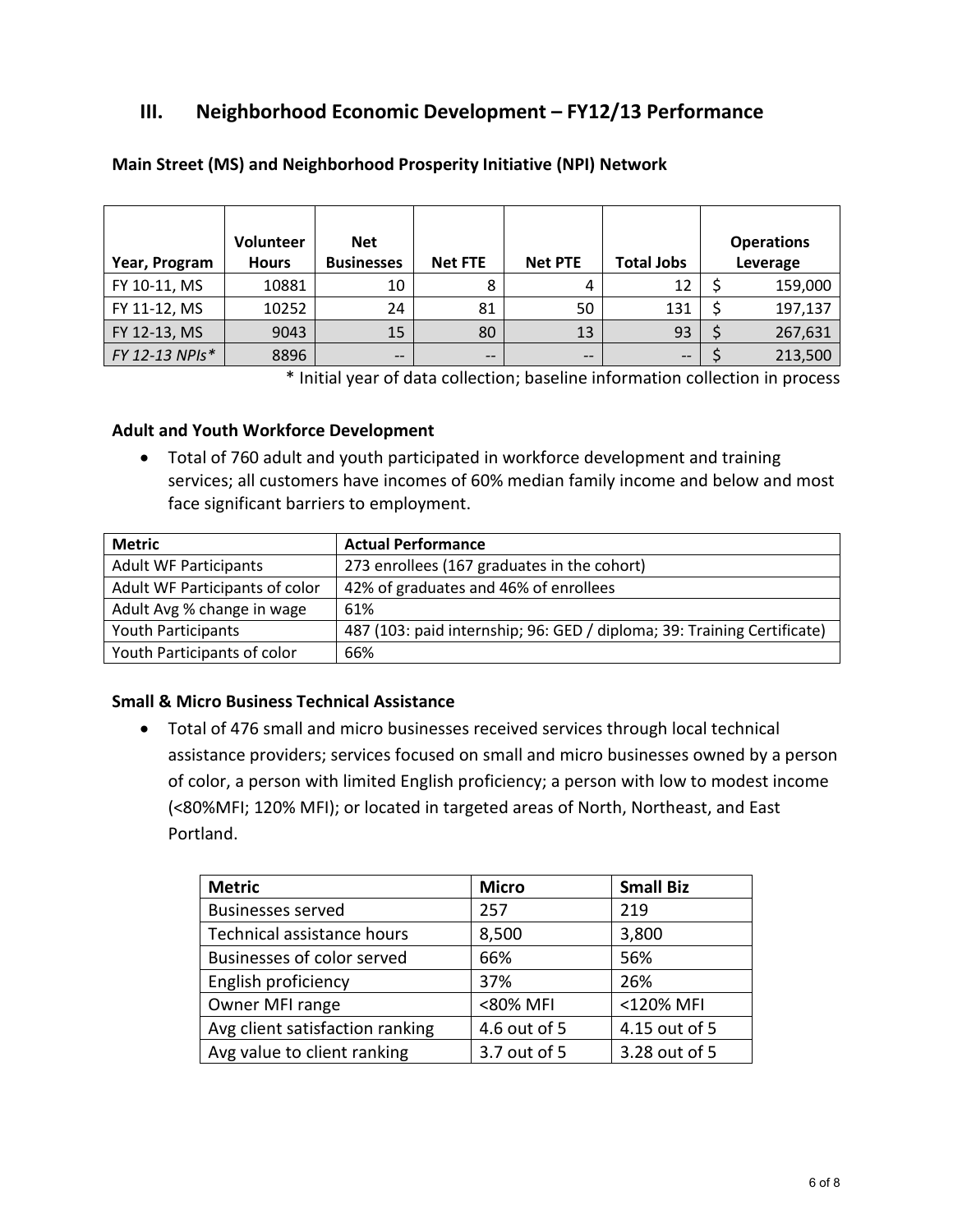## **III. Neighborhood Economic Development – FY12/13 Performance**

| Year, Program  | Volunteer<br><b>Hours</b> | <b>Net</b><br><b>Businesses</b> | <b>Net FTE</b> | <b>Net PTE</b> | <b>Total Jobs</b> | <b>Operations</b><br>Leverage |
|----------------|---------------------------|---------------------------------|----------------|----------------|-------------------|-------------------------------|
| FY 10-11, MS   | 10881                     | 10                              |                |                | 12                | 159,000                       |
| FY 11-12, MS   | 10252                     | 24                              | 81             | 50             | 131               | 197,137                       |
| FY 12-13, MS   | 9043                      | 15                              | 80             | 13             | 93                | 267,631                       |
| FY 12-13 NPIs* | 8896                      | $- -$                           |                | $- -$          | $\qquad \qquad -$ | 213,500                       |

#### **Main Street (MS) and Neighborhood Prosperity Initiative (NPI) Network**

\* Initial year of data collection; baseline information collection in process

#### **Adult and Youth Workforce Development**

• Total of 760 adult and youth participated in workforce development and training services; all customers have incomes of 60% median family income and below and most face significant barriers to employment.

| <b>Metric</b>                  | <b>Actual Performance</b>                                               |
|--------------------------------|-------------------------------------------------------------------------|
| <b>Adult WF Participants</b>   | 273 enrollees (167 graduates in the cohort)                             |
| Adult WF Participants of color | 42% of graduates and 46% of enrollees                                   |
| Adult Avg % change in wage     | 61%                                                                     |
| <b>Youth Participants</b>      | 487 (103: paid internship; 96: GED / diploma; 39: Training Certificate) |
| Youth Participants of color    | 66%                                                                     |

#### **Small & Micro Business Technical Assistance**

• Total of 476 small and micro businesses received services through local technical assistance providers; services focused on small and micro businesses owned by a person of color, a person with limited English proficiency; a person with low to modest income (<80%MFI; 120% MFI); or located in targeted areas of North, Northeast, and East Portland.

| <b>Metric</b>                   | <b>Micro</b> | <b>Small Biz</b> |
|---------------------------------|--------------|------------------|
| <b>Businesses served</b>        | 257          | 219              |
| Technical assistance hours      | 8,500        | 3,800            |
| Businesses of color served      | 66%          | 56%              |
| English proficiency             | 37%          | 26%              |
| Owner MFI range                 | <80% MFI     | <120% MFI        |
| Avg client satisfaction ranking | 4.6 out of 5 | 4.15 out of 5    |
| Avg value to client ranking     | 3.7 out of 5 | 3.28 out of 5    |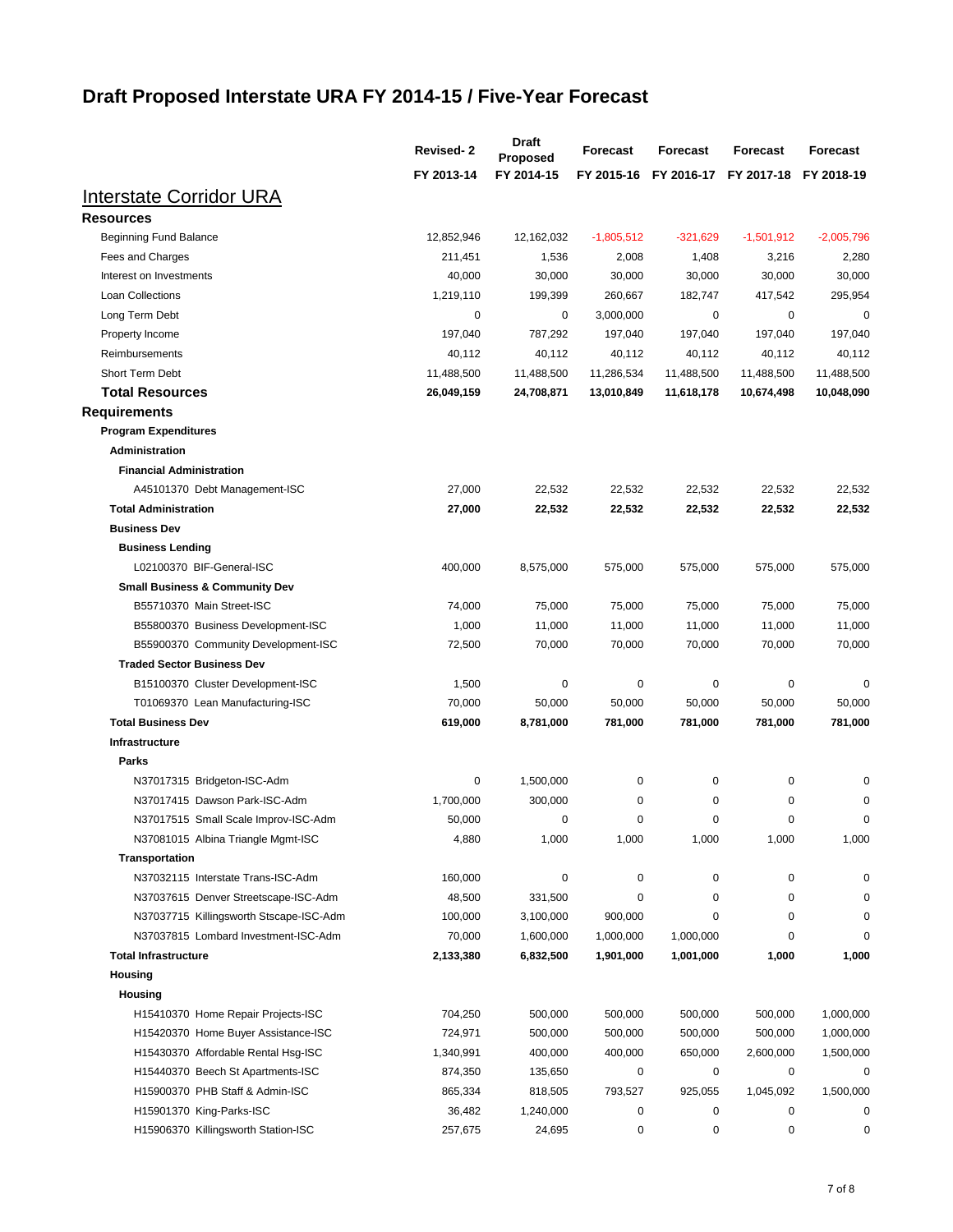# **Draft Proposed Interstate URA FY 2014-15 / Five-Year Forecast**

|                                                              | <b>Revised-2</b> | <b>Draft</b><br><b>Proposed</b> | <b>Forecast</b> | <b>Forecast</b> | <b>Forecast</b> | Forecast     |
|--------------------------------------------------------------|------------------|---------------------------------|-----------------|-----------------|-----------------|--------------|
|                                                              | FY 2013-14       | FY 2014-15                      | FY 2015-16      | FY 2016-17      | FY 2017-18      | FY 2018-19   |
| <u>Interstate Corridor URA</u>                               |                  |                                 |                 |                 |                 |              |
| <b>Resources</b>                                             |                  |                                 |                 |                 |                 |              |
| <b>Beginning Fund Balance</b>                                | 12,852,946       | 12,162,032                      | $-1,805,512$    | $-321,629$      | $-1,501,912$    | $-2,005,796$ |
| Fees and Charges                                             | 211,451          | 1,536                           | 2,008           | 1,408           | 3,216           | 2,280        |
| Interest on Investments                                      | 40,000           | 30,000                          | 30,000          | 30,000          | 30,000          | 30,000       |
| Loan Collections                                             | 1,219,110        | 199,399                         | 260,667         | 182,747         | 417,542         | 295,954      |
| Long Term Debt                                               | 0                | 0                               | 3,000,000       | 0               | 0               | 0            |
| Property Income                                              | 197,040          | 787,292                         | 197,040         | 197,040         | 197,040         | 197,040      |
| Reimbursements                                               | 40,112           | 40,112                          | 40,112          | 40,112          | 40,112          | 40,112       |
| Short Term Debt                                              | 11,488,500       | 11,488,500                      | 11,286,534      | 11,488,500      | 11,488,500      | 11,488,500   |
| <b>Total Resources</b>                                       | 26,049,159       | 24,708,871                      | 13,010,849      | 11,618,178      | 10,674,498      | 10,048,090   |
| <b>Requirements</b>                                          |                  |                                 |                 |                 |                 |              |
| <b>Program Expenditures</b>                                  |                  |                                 |                 |                 |                 |              |
| <b>Administration</b>                                        |                  |                                 |                 |                 |                 |              |
| <b>Financial Administration</b>                              |                  |                                 |                 |                 |                 |              |
| A45101370 Debt Management-ISC                                | 27,000           | 22,532                          | 22,532          | 22,532          | 22,532          | 22,532       |
| <b>Total Administration</b>                                  | 27,000           | 22,532                          | 22,532          | 22,532          | 22,532          | 22,532       |
| <b>Business Dev</b>                                          |                  |                                 |                 |                 |                 |              |
| <b>Business Lending</b>                                      |                  |                                 |                 |                 |                 |              |
| L02100370 BIF-General-ISC                                    | 400,000          | 8,575,000                       | 575,000         | 575,000         | 575,000         | 575,000      |
| <b>Small Business &amp; Community Dev</b>                    |                  |                                 |                 |                 |                 |              |
| B55710370 Main Street-ISC                                    | 74,000           | 75,000                          | 75,000          | 75,000          | 75,000          | 75,000       |
| B55800370 Business Development-ISC                           | 1,000            | 11,000                          | 11,000          | 11,000          | 11,000          | 11,000       |
| B55900370 Community Development-ISC                          | 72,500           | 70,000                          | 70,000          | 70,000          | 70,000          | 70,000       |
| <b>Traded Sector Business Dev</b>                            |                  |                                 |                 |                 |                 |              |
| B15100370 Cluster Development-ISC                            | 1,500            | 0                               | 0               | 0               | 0               | 0            |
| T01069370 Lean Manufacturing-ISC                             | 70,000           | 50,000                          | 50,000          | 50,000          | 50,000          | 50,000       |
| <b>Total Business Dev</b>                                    | 619,000          | 8,781,000                       | 781,000         | 781,000         | 781,000         | 781,000      |
| <b>Infrastructure</b>                                        |                  |                                 |                 |                 |                 |              |
| <b>Parks</b>                                                 |                  |                                 |                 |                 |                 |              |
|                                                              | 0                |                                 | 0               | 0               | 0               | 0            |
| N37017315 Bridgeton-ISC-Adm<br>N37017415 Dawson Park-ISC-Adm | 1,700,000        | 1,500,000<br>300,000            | 0               | 0               | 0               | 0            |
| N37017515 Small Scale Improv-ISC-Adm                         | 50,000           | 0                               | 0               | 0               | 0               | 0            |
| N37081015 Albina Triangle Mgmt-ISC                           | 4,880            | 1,000                           | 1,000           | 1,000           | 1,000           | 1,000        |
|                                                              |                  |                                 |                 |                 |                 |              |
| Transportation                                               |                  |                                 |                 |                 |                 |              |
| N37032115 Interstate Trans-ISC-Adm                           | 160,000          | 0                               | 0               | 0               | 0               | 0            |
| N37037615 Denver Streetscape-ISC-Adm                         | 48,500           | 331,500                         | 0<br>900,000    | 0<br>0          | 0               | 0<br>0       |
| N37037715 Killingsworth Stscape-ISC-Adm                      | 100,000          | 3,100,000                       |                 |                 | 0               |              |
| N37037815 Lombard Investment-ISC-Adm                         | 70,000           | 1,600,000                       | 1,000,000       | 1,000,000       | $\Omega$        | 0            |
| <b>Total Infrastructure</b>                                  | 2,133,380        | 6,832,500                       | 1,901,000       | 1,001,000       | 1,000           | 1,000        |
| Housing                                                      |                  |                                 |                 |                 |                 |              |
| Housing                                                      |                  |                                 |                 |                 |                 |              |
| H15410370 Home Repair Projects-ISC                           | 704,250          | 500,000                         | 500,000         | 500,000         | 500,000         | 1,000,000    |
| H15420370 Home Buyer Assistance-ISC                          | 724,971          | 500,000                         | 500,000         | 500,000         | 500,000         | 1,000,000    |
| H15430370 Affordable Rental Hsg-ISC                          | 1,340,991        | 400,000                         | 400,000         | 650,000         | 2,600,000       | 1,500,000    |
| H15440370 Beech St Apartments-ISC                            | 874,350          | 135,650                         | 0               | 0               | 0               | 0            |
| H15900370 PHB Staff & Admin-ISC                              | 865,334          | 818,505                         | 793,527         | 925,055         | 1,045,092       | 1,500,000    |
| H15901370 King-Parks-ISC                                     | 36,482           | 1,240,000                       | 0               | 0               | 0               | 0            |
| H15906370 Killingsworth Station-ISC                          | 257,675          | 24,695                          | 0               | 0               | 0               | 0            |